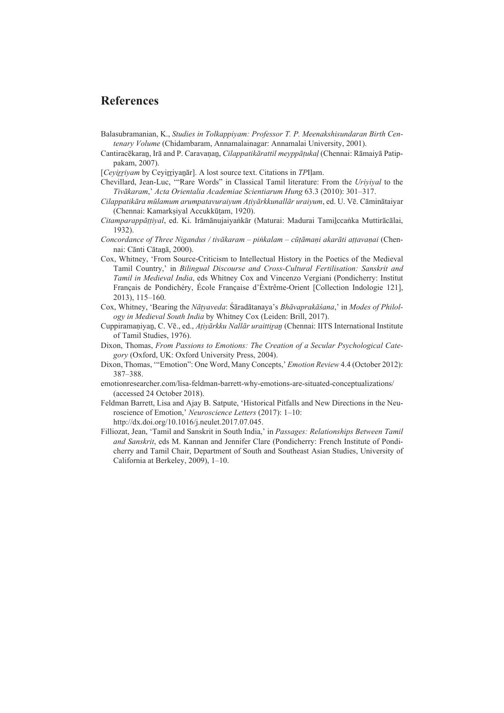## **References**

- Balasubramanian, K., *Studies in Tolkappiyam: Professor T. P. Meenakshisundaran Birth Centenary Volume* (Chidambaram, Annamalainagar: Annamalai University, 2001).
- Cantiracēkaraṉ, Irā and P. Caravaṇaṉ, *Cilappatikārattil meyppāṭukaḷ* (Chennai: Rāmaiyā Patippakam, 2007).
- [*Cevirrivam* by Cevirriyanar]. A lost source text. Citations in *TP*Ilam.
- Chevillard, Jean-Luc, '"Rare Words" in Classical Tamil literature: From the *Uriyiyal* to the *Tivākaram*,' *Acta Orientalia Academiae Scientiarum Hung* 63.3 (2010): 301–317.
- *Cilappatikāra mūlamum arumpatavuraiyum Aṭiyārkkunallār uraiyum*, ed. U. Vē. Cāminātaiyar (Chennai: Kamarkṣiyal Accukkūṭam, 1920).
- *Citamparappāṭṭiyal*, ed. Ki. Irāmānujaiyaṅkār (Maturai: Madurai Tamiḻccaṅka Muttirācālai, 1932).
- *Concordance of Three Nigandus / tivākaram piṅkalam cūṭāmaṇi akarāti aṭṭavaṇai* (Chennai: Cānti Cātaṉā, 2000).
- Cox, Whitney, 'From Source-Criticism to Intellectual History in the Poetics of the Medieval Tamil Country,' in *Bilingual Discourse and Cross-Cultural Fertilisation: Sanskrit and Tamil in Medieval India*, eds Whitney Cox and Vincenzo Vergiani (Pondicherry: Institut Français de Pondichéry, École Française d'Èxtrême-Orient [Collection Indologie 121], 2013), 115‒160.
- Cox, Whitney, 'Bearing the *Nāṭyaveda*: Śāradātanaya's *Bhāvaprakāśana*,' in *Modes of Philology in Medieval South India* by Whitney Cox (Leiden: Brill, 2017).
- Cuppiramaṇiyaṉ, C. Vē., ed., *Aṭiyārkku Nallār uraittiṟaṉ* (Chennai: IITS International Institute of Tamil Studies, 1976).
- Dixon, Thomas, *From Passions to Emotions: The Creation of a Secular Psychological Category* (Oxford, UK: Oxford University Press, 2004).
- Dixon, Thomas, '"Emotion": One Word, Many Concepts,' *Emotion Review* 4.4 (October 2012): 387‒388.
- emotionresearcher.com/lisa-feldman-barrett-why-emotions-are-situated-conceptualizations/ (accessed 24 October 2018).
- Feldman Barrett, Lisa and Ajay B. Satpute, 'Historical Pitfalls and New Directions in the Neuroscience of Emotion,' *Neuroscience Letters* (2017): 1–10: http://dx.doi.org/10.1016/j.neulet.2017.07.045.
- Filliozat, Jean, 'Tamil and Sanskrit in South India,' in *Passages: Relationships Between Tamil and Sanskrit*, eds M. Kannan and Jennifer Clare (Pondicherry: French Institute of Pondicherry and Tamil Chair, Department of South and Southeast Asian Studies, University of California at Berkeley, 2009), 1-10.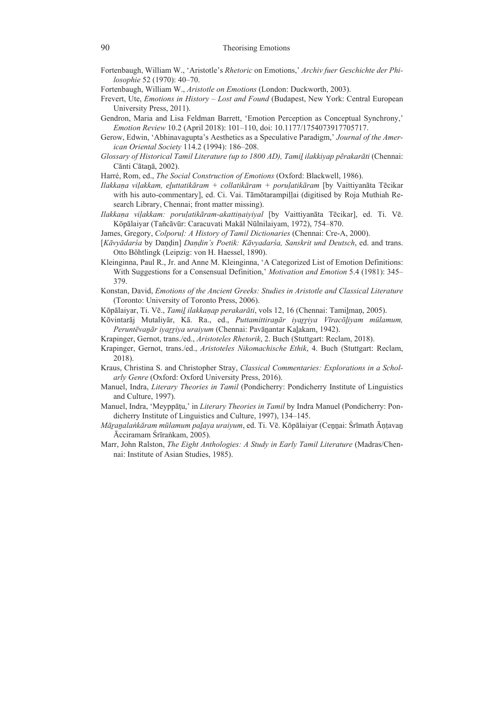- Fortenbaugh, William W., 'Aristotle's *Rhetoric* on Emotions,' *Archiv fuer Geschichte der Philosophie* 52 (1970): 40‒70.
- Fortenbaugh, William W., *Aristotle on Emotions* (London: Duckworth, 2003).
- Frevert, Ute, *Emotions in History Lost and Found* (Budapest, New York: Central European University Press, 2011).
- Gendron, Maria and Lisa Feldman Barrett, 'Emotion Perception as Conceptual Synchrony,' *Emotion Review* 10.2 (April 2018): 101-110, doi: 10.1177/1754073917705717.
- Gerow, Edwin, 'Abhinavagupta's Aesthetics as a Speculative Paradigm,' *Journal of the American Oriental Society* 114.2 (1994): 186-208.
- *Glossary of Historical Tamil Literature (up to 1800 AD), Tamiḻ ilakkiyap pērakarāti* (Chennai: Cānti Cātaṉā, 2002).
- Harré, Rom, ed., *The Social Construction of Emotions* (Oxford: Blackwell, 1986).
- *Ilakkaṇa viḷakkam, eḻuttatikāram + collatikāram + poruḷatikāram* [by Vaittiyanāta Tēcikar with his auto-commentary], ed. Ci. Vai. Tāmōtarampillai (digitised by Roja Muthiah Research Library, Chennai; front matter missing).
- *Ilakkaṇa viḷakkam: poruḷatikāram-akattiṇaiyiyal* [by Vaittiyanāta Tēcikar], ed. Ti. Vē. Kōpālaiyar (Tañcāvūr: Caracuvati Makāl Nūlnilaiyam, 1972), 754–870.
- James, Gregory, *Colporuḷ: A History of Tamil Dictionaries* (Chennai: Cre-A, 2000).
- [*Kāvyādarśa* by Daṇḍin] *Daṇḍin's Poetik: Kāvyadarśa, Sanskrit und Deutsch*, ed. and trans. Otto Böhtlingk (Leipzig: von H. Haessel, 1890).
- Kleinginna, Paul R., Jr. and Anne M. Kleinginna, 'A Categorized List of Emotion Definitions: With Suggestions for a Consensual Definition,' *Motivation and Emotion* 5.4 (1981): 345– 379.
- Konstan, David, *Emotions of the Ancient Greeks: Studies in Aristotle and Classical Literature* (Toronto: University of Toronto Press, 2006).
- Kōpālaiyar, Ti. Vē., *Tamiḻ ilakkaṇap perakarāti*, vols 12, 16 (Chennai: Tamiḻmaṇ, 2005).
- Kōvintarāj Mutaliyār, Kā. Ra., ed., *Puttamittiraṉār iyaṟṟiya Vīracōḻiyam mūlamum, Peruntēvaṉār iyaṟṟiya uraiyum* (Chennai: Pavāṉantar Kaḻakam, 1942).
- Krapinger, Gernot, trans./ed., *Aristoteles Rhetorik*, 2. Buch (Stuttgart: Reclam, 2018).
- Krapinger, Gernot, trans./ed., *Aristoteles Nikomachische Ethik*, 4. Buch (Stuttgart: Reclam, 2018).
- Kraus, Christina S. and Christopher Stray, *Classical Commentaries: Explorations in a Scholarly Genre* (Oxford: Oxford University Press, 2016).
- Manuel, Indra, *Literary Theories in Tamil* (Pondicherry: Pondicherry Institute of Linguistics and Culture, 1997).
- Manuel, Indra, 'Meyppāṭu,' in *Literary Theories in Tamil* by Indra Manuel (Pondicherry: Pondicherry Institute of Linguistics and Culture, 1997), 134–145.
- *Māṟaṉalaṅkāram mūlamum paḻaya uraiyum*, ed. Ti. Vē. Kōpālaiyar (Ceṉṉai: Śrīmath Āṇṭavaṉ Ācciramam Śrīraṅkam, 2005).
- Marr, John Ralston, *The Eight Anthologies: A Study in Early Tamil Literature* (Madras/Chennai: Institute of Asian Studies, 1985).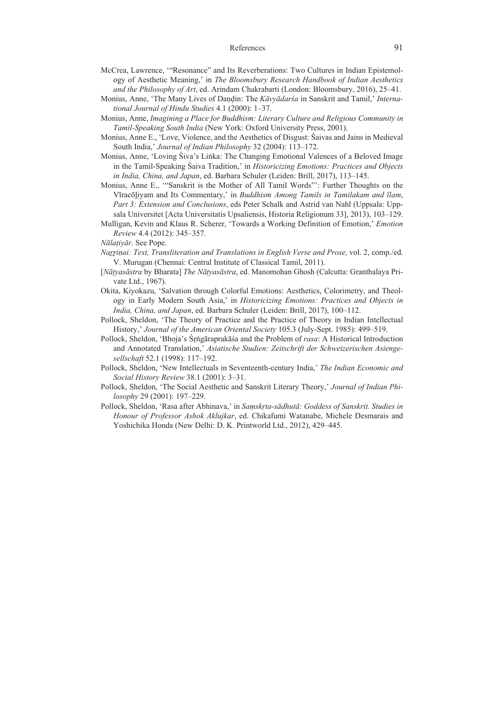## References 91

- McCrea, Lawrence, '"Resonance" and Its Reverberations: Two Cultures in Indian Epistemology of Aesthetic Meaning,' in *The Bloomsbury Research Handbook of Indian Aesthetics and the Philosophy of Art*, ed. Arindam Chakrabarti (London: Bloomsbury, 2016), 25–41.
- Monius, Anne, 'The Many Lives of Daṇḍin: The *Kāvyādarśa* in Sanskrit and Tamil,' *International Journal of Hindu Studies* 4.1 (2000): 1‒37.
- Monius, Anne, *Imagining a Place for Buddhism: Literary Culture and Religious Community in Tamil-Speaking South India* (New York: Oxford University Press, 2001).
- Monius, Anne E., 'Love, Violence, and the Aesthetics of Disgust: Śaivas and Jains in Medieval South India,' *Journal of Indian Philosophy* 32 (2004): 113–172.
- Monius, Anne, 'Loving Śiva's Liṅka: The Changing Emotional Valences of a Beloved Image in the Tamil-Speaking Śaiva Tradition,' in *Historicizing Emotions: Practices and Objects in India, China, and Japan*, ed. Barbara Schuler (Leiden: Brill, 2017), 113‒145.
- Monius, Anne E., '"Sanskrit is the Mother of All Tamil Words"': Further Thoughts on the Vīracōḻiyam and Its Commentary,' in *Buddhism Among Tamils in Tamilakam and īlam*, *Part 3: Extension and Conclusions*, eds Peter Schalk and Astrid van Nahl (Uppsala: Uppsala Universitet [Acta Universitatis Upsaliensis, Historia Religionum 33], 2013), 103‒129.
- Mulligan, Kevin and Klaus R. Scherer, 'Towards a Working Definition of Emotion,' *Emotion Review* 4.4 (2012): 345‒357.

- *Naṟṟiṇai: Text, Transliteration and Translations in English Verse and Prose,* vol. 2, comp./ed. V. Murugan (Chennai: Central Institute of Classical Tamil, 2011).
- [*Nāṭyasāstra* by Bharata] *The Nāṭyasāstra*, ed. Manomohan Ghosh (Calcutta: Granthalaya Private Ltd., 1967).
- Okita, Kiyokazu, 'Salvation through Colorful Emotions: Aesthetics, Colorimetry, and Theology in Early Modern South Asia,' in *Historicizing Emotions: Practices and Objects in India, China, and Japan*, ed. Barbara Schuler (Leiden: Brill, 2017), 100–112.
- Pollock, Sheldon, 'The Theory of Practice and the Practice of Theory in Indian Intellectual History,' *Journal of the American Oriental Society* 105.3 (July-Sept. 1985): 499–519.
- Pollock, Sheldon, 'Bhoja's Śṛṅgāraprakāśa and the Problem of *rasa*: A Historical Introduction and Annotated Translation,' *Asiatische Studien: Zeitschrift der Schweizerischen Asiengesellschaft* 52.1 (1998): 117‒192.
- Pollock, Sheldon, 'New Intellectuals in Seventeenth-century India,' *The Indian Economic and Social History Review* 38.1 (2001): 3‒31.
- Pollock, Sheldon, 'The Social Aesthetic and Sanskrit Literary Theory,' *Journal of Indian Philosophy* 29 (2001): 197‒229.
- Pollock, Sheldon, 'Rasa after Abhinava,' in *Saṃskṛta-sādhutā: Goddess of Sanskrit. Studies in Honour of Professor Ashok Aklujkar*, ed. Chikafumi Watanabe, Michele Desmarais and Yoshichika Honda (New Delhi: D. K. Printworld Ltd., 2012), 429–445.

*Nālaṭiyār.* See Pope.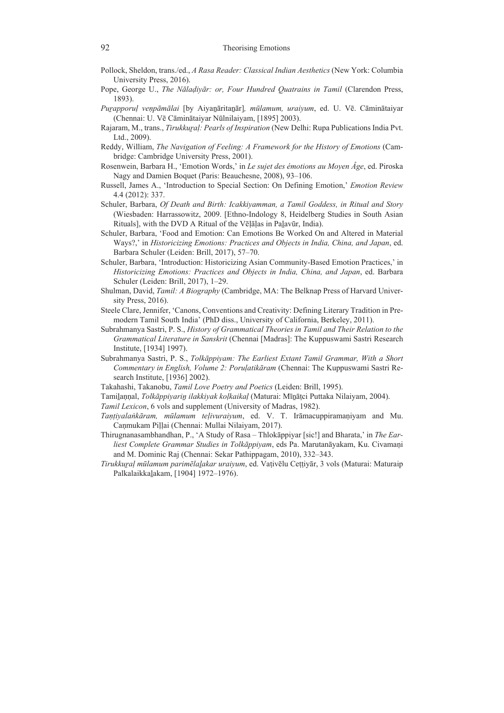- Pollock, Sheldon, trans./ed., *A Rasa Reader: Classical Indian Aesthetics* (New York: Columbia University Press, 2016).
- Pope, George U., *The Nālaḍiyār: or, Four Hundred Quatrains in Tamil* (Clarendon Press, 1893).
- *Puṟapporuḷ veṇpāmālai* [by Aiyaṉāritaṉār]*, mūlamum, uraiyum*, ed. U. Vē. Cāminātaiyar (Chennai: U. Vē Cāminātaiyar Nūlnilaiyam, [1895] 2003).
- Rajaram, M., trans., *Tirukkuṟaḷ: Pearls of Inspiration* (New Delhi: Rupa Publications India Pvt. Ltd., 2009).
- Reddy, William, *The Navigation of Feeling: A Framework for the History of Emotions* (Cambridge: Cambridge University Press, 2001).
- Rosenwein, Barbara H., 'Emotion Words,' in *Le sujet des émotions au Moyen Âge*, ed. Piroska Nagy and Damien Boquet (Paris: Beauchesne, 2008), 93–106.
- Russell, James A., 'Introduction to Special Section: On Defining Emotion,' *Emotion Review* 4.4 (2012): 337.
- Schuler, Barbara, *Of Death and Birth: Icakkiyamman, a Tamil Goddess, in Ritual and Story* (Wiesbaden: Harrassowitz, 2009. [Ethno-Indology 8, Heidelberg Studies in South Asian Rituals], with the DVD A Ritual of the Vēḷāḷas in Paḻavūr, India).
- Schuler, Barbara, 'Food and Emotion: Can Emotions Be Worked On and Altered in Material Ways?,' in *Historicizing Emotions: Practices and Objects in India, China, and Japan*, ed. Barbara Schuler (Leiden: Brill, 2017), 57-70.
- Schuler, Barbara, 'Introduction: Historicizing Asian Community-Based Emotion Practices,' in *Historicizing Emotions: Practices and Objects in India, China, and Japan*, ed. Barbara Schuler (Leiden: Brill, 2017), 1‒29.
- Shulman, David, *Tamil: A Biography* (Cambridge, MA: The Belknap Press of Harvard University Press, 2016).
- Steele Clare, Jennifer, 'Canons, Conventions and Creativity: Defining Literary Tradition in Premodern Tamil South India' (PhD diss., University of California, Berkeley, 2011).
- Subrahmanya Sastri, P. S., *History of Grammatical Theories in Tamil and Their Relation to the Grammatical Literature in Sanskrit* (Chennai [Madras]: The Kuppuswami Sastri Research Institute, [1934] 1997).
- Subrahmanya Sastri, P. S., *Tolkāppiyam: The Earliest Extant Tamil Grammar, With a Short Commentary in English, Volume 2: Poruḷatikāram* (Chennai: The Kuppuswami Sastri Research Institute, [1936] 2002).
- Takahashi, Takanobu, *Tamil Love Poetry and Poetics* (Leiden: Brill, 1995).
- Tamiḻaṇṇal, *Tolkāppiyariṉ ilakkiyak koḷkaikaḷ* (Maturai: Mīṉāṭci Puttaka Nilaiyam, 2004).
- *Tamil Lexicon*, 6 vols and supplement (University of Madras, 1982).
- *Taṇṭiyalaṅkāram, mūlamum teḷivuraiyum*, ed. V. T. Irāmacuppiramaṇiyam and Mu. Caṇmukam Piḷḷai (Chennai: Mullai Nilaiyam, 2017).
- Thirugnanasambhandhan, P., 'A Study of Rasa Thlokāppiyar [sic!] and Bharata,' in *The Earliest Complete Grammar Studies in Tolkāppiyam*, eds Pa. Marutanāyakam, Ku. Civamaṇi and M. Dominic Raj (Chennai: Sekar Pathippagam, 2010), 332–343.
- *Tirukkuṟaḷ mūlamum parimēlaḻakar uraiyum*, ed. Vaṭivēlu Ceṭṭiyār, 3 vols (Maturai: Maturaip Palkalaikkaḻakam, [1904] 1972–1976).